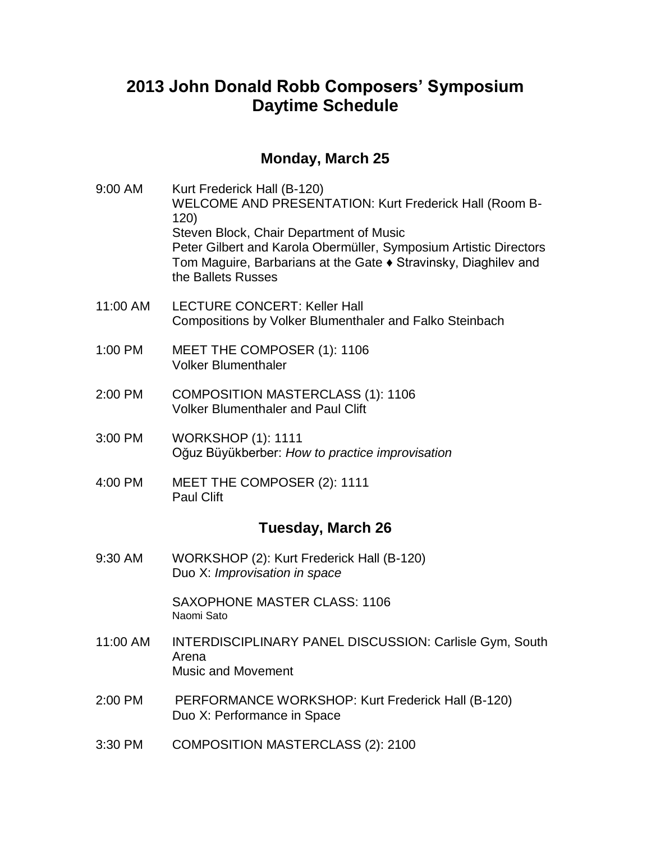## **2013 John Donald Robb Composers' Symposium Daytime Schedule**

## **Monday, March 25**

| 9:00 AM           | Kurt Frederick Hall (B-120)<br><b>WELCOME AND PRESENTATION: Kurt Frederick Hall (Room B-</b><br>120)<br>Steven Block, Chair Department of Music<br>Peter Gilbert and Karola Obermüller, Symposium Artistic Directors<br>Tom Maguire, Barbarians at the Gate ♦ Stravinsky, Diaghilev and<br>the Ballets Russes |
|-------------------|---------------------------------------------------------------------------------------------------------------------------------------------------------------------------------------------------------------------------------------------------------------------------------------------------------------|
| 11:00 AM          | <b>LECTURE CONCERT: Keller Hall</b><br>Compositions by Volker Blumenthaler and Falko Steinbach                                                                                                                                                                                                                |
| 1:00 PM           | MEET THE COMPOSER (1): 1106<br><b>Volker Blumenthaler</b>                                                                                                                                                                                                                                                     |
| 2:00 PM           | <b>COMPOSITION MASTERCLASS (1): 1106</b><br><b>Volker Blumenthaler and Paul Clift</b>                                                                                                                                                                                                                         |
| 3:00 PM           | <b>WORKSHOP (1): 1111</b><br>Oğuz Büyükberber: How to practice improvisation                                                                                                                                                                                                                                  |
| 4:00 PM           | MEET THE COMPOSER (2): 1111<br><b>Paul Clift</b>                                                                                                                                                                                                                                                              |
| Tuesday, March 26 |                                                                                                                                                                                                                                                                                                               |
| 9:30 AM           | WORKSHOP (2): Kurt Frederick Hall (B-120)<br>Duo X: Improvisation in space                                                                                                                                                                                                                                    |
|                   | <b>SAXOPHONE MASTER CLASS: 1106</b><br>Naomi Sato                                                                                                                                                                                                                                                             |
| 11:00 AM          | <b>INTERDISCIPLINARY PANEL DISCUSSION: Carlisle Gym, South</b><br>Arena<br><b>Music and Movement</b>                                                                                                                                                                                                          |
| 2:00 PM           | PERFORMANCE WORKSHOP: Kurt Frederick Hall (B-120)<br>Duo X: Performance in Space                                                                                                                                                                                                                              |
| 3:30 PM           | <b>COMPOSITION MASTERCLASS (2): 2100</b>                                                                                                                                                                                                                                                                      |